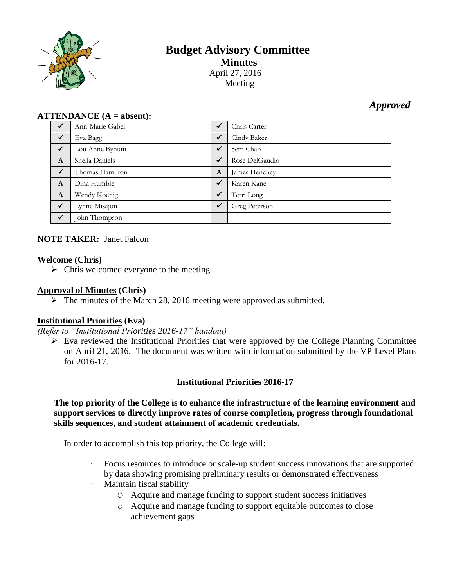

# **Budget Advisory Committee Minutes** April 27, 2016 Meeting

# *Approved*

#### **ATTENDANCE (A = absent):**

| $\checkmark$ | Ann-Marie Gabel | $\checkmark$ | Chris Carter   |
|--------------|-----------------|--------------|----------------|
| $\sqrt{}$    | Eva Bagg        | $\checkmark$ | Cindy Baker    |
| $\checkmark$ | Lou Anne Bynum  | $\checkmark$ | Sem Chao       |
| $\mathbf{A}$ | Sheila Daniels  | $\checkmark$ | Rose DelGaudio |
| $\checkmark$ | Thomas Hamilton | $\mathbf{A}$ | James Henchey  |
| $\mathbf{A}$ | Dina Humble     | $\checkmark$ | Karen Kane     |
| $\mathbf{A}$ | Wendy Koenig    | $\checkmark$ | Terri Long     |
| $\checkmark$ | Lynne Misajon   | $\checkmark$ | Greg Peterson  |
| $\checkmark$ | John Thompson   |              |                |

# **NOTE TAKER:** Janet Falcon

#### **Welcome (Chris)**

 $\triangleright$  Chris welcomed everyone to the meeting.

### **Approval of Minutes (Chris)**

 $\triangleright$  The minutes of the March 28, 2016 meeting were approved as submitted.

# **Institutional Priorities (Eva)**

*(Refer to "Institutional Priorities 2016-17" handout)*

 $\triangleright$  Eva reviewed the Institutional Priorities that were approved by the College Planning Committee on April 21, 2016. The document was written with information submitted by the VP Level Plans for 2016-17.

# **Institutional Priorities 2016-17**

### **The top priority of the College is to enhance the infrastructure of the learning environment and support services to directly improve rates of course completion, progress through foundational skills sequences, and student attainment of academic credentials.**

In order to accomplish this top priority, the College will:

- Focus resources to introduce or scale-up student success innovations that are supported by data showing promising preliminary results or demonstrated effectiveness
- Maintain fiscal stability
	- O Acquire and manage funding to support student success initiatives
	- o Acquire and manage funding to support equitable outcomes to close achievement gaps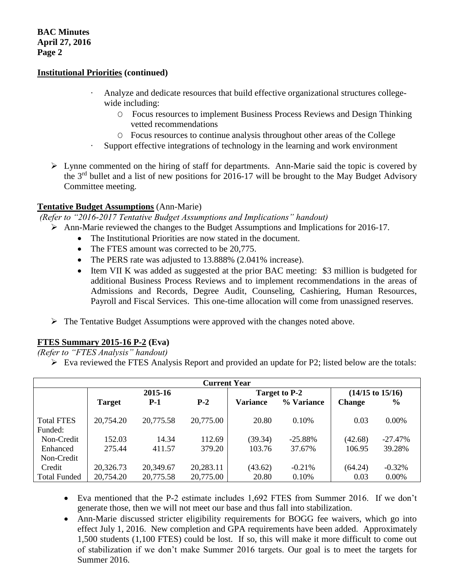### **Institutional Priorities (continued)**

- Analyze and dedicate resources that build effective organizational structures collegewide including:
	- O Focus resources to implement Business Process Reviews and Design Thinking vetted recommendations
	- O Focus resources to continue analysis throughout other areas of the College
- · Support effective integrations of technology in the learning and work environment
- $\triangleright$  Lynne commented on the hiring of staff for departments. Ann-Marie said the topic is covered by the 3rd bullet and a list of new positions for 2016-17 will be brought to the May Budget Advisory Committee meeting.

#### **Tentative Budget Assumptions** (Ann-Marie)

*(Refer to "2016-2017 Tentative Budget Assumptions and Implications" handout)*

- Ann-Marie reviewed the changes to the Budget Assumptions and Implications for 2016-17.
	- The Institutional Priorities are now stated in the document.
	- The FTES amount was corrected to be 20.775.
	- The PERS rate was adjusted to 13.888% (2.041% increase).
	- Item VII K was added as suggested at the prior BAC meeting: \$3 million is budgeted for additional Business Process Reviews and to implement recommendations in the areas of Admissions and Records, Degree Audit, Counseling, Cashiering, Human Resources, Payroll and Fiscal Services. This one-time allocation will come from unassigned reserves.
	- $\triangleright$  The Tentative Budget Assumptions were approved with the changes noted above.

# **FTES Summary 2015-16 P-2 (Eva)**

*(Refer to "FTES Analysis" handout)*

 $\triangleright$  Eva reviewed the FTES Analysis Report and provided an update for P2; listed below are the totals:

| <b>Current Year</b> |               |           |           |                 |            |                             |               |  |
|---------------------|---------------|-----------|-----------|-----------------|------------|-----------------------------|---------------|--|
|                     | 2015-16       |           |           | Target to P-2   |            | $(14/15 \text{ to } 15/16)$ |               |  |
|                     | <b>Target</b> | $P-1$     | $P-2$     | <b>Variance</b> | % Variance | <b>Change</b>               | $\frac{6}{9}$ |  |
|                     |               |           |           |                 |            |                             |               |  |
| <b>Total FTES</b>   | 20,754.20     | 20,775.58 | 20,775.00 | 20.80           | 0.10%      | 0.03                        | $0.00\%$      |  |
| Funded:             |               |           |           |                 |            |                             |               |  |
| Non-Credit          | 152.03        | 14.34     | 112.69    | (39.34)         | $-25.88%$  | (42.68)                     | $-27.47%$     |  |
| Enhanced            | 275.44        | 411.57    | 379.20    | 103.76          | 37.67%     | 106.95                      | 39.28%        |  |
| Non-Credit          |               |           |           |                 |            |                             |               |  |
| Credit              | 20,326.73     | 20,349.67 | 20,283.11 | (43.62)         | $-0.21%$   | (64.24)                     | $-0.32%$      |  |
| <b>Total Funded</b> | 20,754.20     | 20,775.58 | 20,775.00 | 20.80           | 0.10%      | 0.03                        | $0.00\%$      |  |

- Eva mentioned that the P-2 estimate includes 1,692 FTES from Summer 2016. If we don't generate those, then we will not meet our base and thus fall into stabilization.
- Ann-Marie discussed stricter eligibility requirements for BOGG fee waivers, which go into effect July 1, 2016. New completion and GPA requirements have been added. Approximately 1,500 students (1,100 FTES) could be lost. If so, this will make it more difficult to come out of stabilization if we don't make Summer 2016 targets. Our goal is to meet the targets for Summer 2016.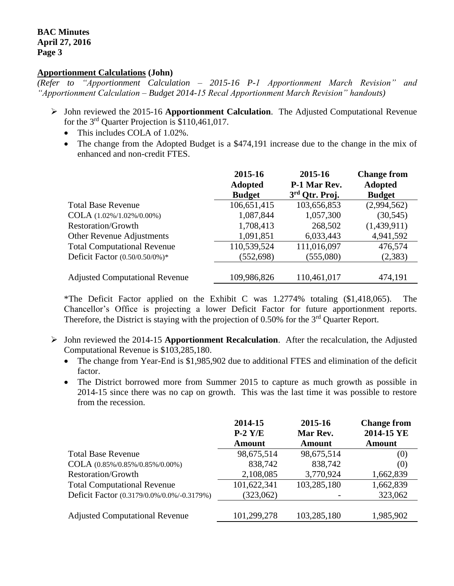#### **BAC Minutes April 27, 2016 Page 3**

#### **Apportionment Calculations (John)**

*(Refer to "Apportionment Calculation – 2015-16 P-1 Apportionment March Revision" and "Apportionment Calculation – Budget 2014-15 Recal Apportionment March Revision" handouts)*

- John reviewed the 2015-16 **Apportionment Calculation**. The Adjusted Computational Revenue for the  $3<sup>rd</sup>$  Quarter Projection is \$110,461,017.
	- This includes COLA of 1.02%.
	- The change from the Adopted Budget is a \$474,191 increase due to the change in the mix of enhanced and non-credit FTES.

|                                       | 2015-16<br><b>Adopted</b><br><b>Budget</b> | 2015-16<br>P-1 Mar Rev.<br>3rd Qtr. Proj. | <b>Change from</b><br><b>Adopted</b><br><b>Budget</b> |
|---------------------------------------|--------------------------------------------|-------------------------------------------|-------------------------------------------------------|
| <b>Total Base Revenue</b>             | 106,651,415                                | 103,656,853                               | (2,994,562)                                           |
| $COLA (1.02\%/1.02\%/0.00\%)$         | 1,087,844                                  | 1,057,300                                 | (30, 545)                                             |
| <b>Restoration/Growth</b>             | 1,708,413                                  | 268,502                                   | (1,439,911)                                           |
| Other Revenue Adjustments             | 1,091,851                                  | 6,033,443                                 | 4,941,592                                             |
| <b>Total Computational Revenue</b>    | 110,539,524                                | 111,016,097                               | 476,574                                               |
| Deficit Factor (0.50/0.50/0%)*        | (552, 698)                                 | (555,080)                                 | (2,383)                                               |
|                                       |                                            |                                           |                                                       |
| <b>Adjusted Computational Revenue</b> | 109,986,826                                | 110,461,017                               | 474,191                                               |

\*The Deficit Factor applied on the Exhibit C was 1.2774% totaling (\$1,418,065). The Chancellor's Office is projecting a lower Deficit Factor for future apportionment reports. Therefore, the District is staying with the projection of 0.50% for the 3<sup>rd</sup> Quarter Report.

- John reviewed the 2014-15 **Apportionment Recalculation**. After the recalculation, the Adjusted Computational Revenue is \$103,285,180.
	- The change from Year-End is \$1,985,902 due to additional FTES and elimination of the deficit factor.
	- The District borrowed more from Summer 2015 to capture as much growth as possible in 2014-15 since there was no cap on growth. This was the last time it was possible to restore from the recession.

|                                            | 2014-15<br>$P-2$ Y/E | 2015-16<br>Mar Rev. | <b>Change from</b><br>2014-15 YE |
|--------------------------------------------|----------------------|---------------------|----------------------------------|
|                                            | <b>Amount</b>        | Amount              | <b>Amount</b>                    |
| <b>Total Base Revenue</b>                  | 98,675,514           | 98,675,514          | (0)                              |
| COLA (0.85%/0.85%/0.85%/0.00%)             | 838,742              | 838,742             | (0)                              |
| <b>Restoration/Growth</b>                  | 2,108,085            | 3,770,924           | 1,662,839                        |
| <b>Total Computational Revenue</b>         | 101,622,341          | 103,285,180         | 1,662,839                        |
| Deficit Factor (0.3179/0.0%/0.0%/-0.3179%) | (323,062)            |                     | 323,062                          |
|                                            |                      |                     |                                  |
| <b>Adjusted Computational Revenue</b>      | 101,299,278          | 103,285,180         | 1,985,902                        |